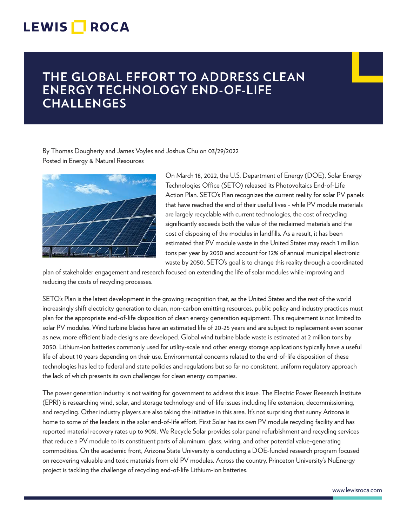## **LEWIS ROCA**

## **THE GLOBAL EFFORT TO ADDRESS CLEAN ENERGY TECHNOLOGY END-OF-LIFE CHALLENGES**

By Thomas Dougherty and James Voyles and Joshua Chu on 03/29/2022 Posted in Energy & Natural Resources



On March 18, 2022, the U.S. Department of Energy (DOE), Solar Energy Technologies Office (SETO) released its Photovoltaics End-of-Life Action Plan. SETO's Plan recognizes the current reality for solar PV panels that have reached the end of their useful lives - while PV module materials are largely recyclable with current technologies, the cost of recycling significantly exceeds both the value of the reclaimed materials and the cost of disposing of the modules in landfills. As a result, it has been estimated that PV module waste in the United States may reach 1 million tons per year by 2030 and account for 12% of annual municipal electronic waste by 2050. SETO's goal is to change this reality through a coordinated

plan of stakeholder engagement and research focused on extending the life of solar modules while improving and reducing the costs of recycling processes.

SETO's Plan is the latest development in the growing recognition that, as the United States and the rest of the world increasingly shift electricity generation to clean, non-carbon emitting resources, public policy and industry practices must plan for the appropriate end-of-life disposition of clean energy generation equipment. This requirement is not limited to solar PV modules. Wind turbine blades have an estimated life of 20-25 years and are subject to replacement even sooner as new, more efficient blade designs are developed. Global wind turbine blade waste is estimated at 2 million tons by 2050. Lithium-ion batteries commonly used for utility-scale and other energy storage applications typically have a useful life of about 10 years depending on their use. Environmental concerns related to the end-of-life disposition of these technologies has led to federal and state policies and regulations but so far no consistent, uniform regulatory approach the lack of which presents its own challenges for clean energy companies.

The power generation industry is not waiting for government to address this issue. The Electric Power Research Institute (EPRI) is researching wind, solar, and storage technology end-of-life issues including life extension, decommissioning, and recycling. Other industry players are also taking the initiative in this area. It's not surprising that sunny Arizona is home to some of the leaders in the solar end-of-life effort. First Solar has its own PV module recycling facility and has reported material recovery rates up to 90%. We Recycle Solar provides solar panel refurbishment and recycling services that reduce a PV module to its constituent parts of aluminum, glass, wiring, and other potential value-generating commodities. On the academic front, Arizona State University is conducting a DOE-funded research program focused on recovering valuable and toxic materials from old PV modules. Across the country, Princeton University's NuEnergy project is tackling the challenge of recycling end-of-life Lithium-ion batteries.